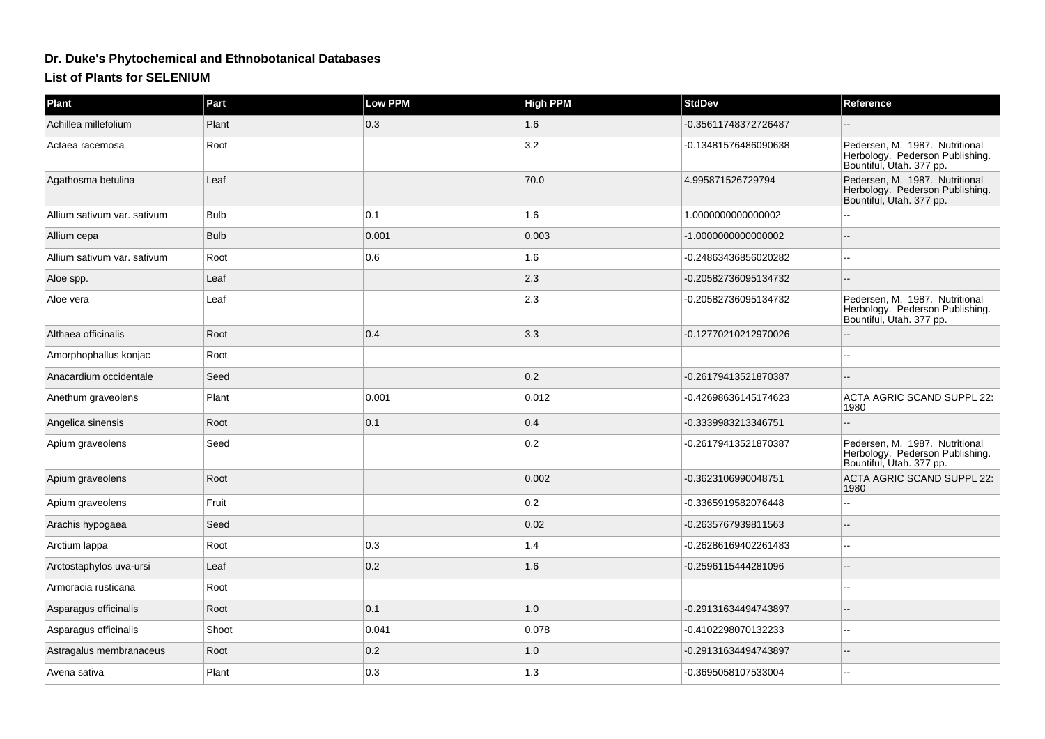## **Dr. Duke's Phytochemical and Ethnobotanical Databases**

## **List of Plants for SELENIUM**

| <b>Plant</b>                | Part        | <b>Low PPM</b> | <b>High PPM</b> | <b>StdDev</b>        | Reference                                                                                     |
|-----------------------------|-------------|----------------|-----------------|----------------------|-----------------------------------------------------------------------------------------------|
| Achillea millefolium        | Plant       | 0.3            | 1.6             | -0.35611748372726487 |                                                                                               |
| Actaea racemosa             | Root        |                | 3.2             | -0.13481576486090638 | Pedersen, M. 1987. Nutritional<br>Herbology. Pederson Publishing.<br>Bountiful, Utah. 377 pp. |
| Agathosma betulina          | Leaf        |                | 70.0            | 4.995871526729794    | Pedersen, M. 1987. Nutritional<br>Herbology. Pederson Publishing.<br>Bountiful, Utah. 377 pp. |
| Allium sativum var. sativum | <b>Bulb</b> | 0.1            | 1.6             | 1.0000000000000002   |                                                                                               |
| Allium cepa                 | <b>Bulb</b> | 0.001          | 0.003           | -1.000000000000002   |                                                                                               |
| Allium sativum var. sativum | Root        | 0.6            | 1.6             | -0.24863436856020282 |                                                                                               |
| Aloe spp.                   | Leaf        |                | $ 2.3\rangle$   | -0.20582736095134732 |                                                                                               |
| Aloe vera                   | Leaf        |                | 2.3             | -0.20582736095134732 | Pedersen, M. 1987. Nutritional<br>Herbology. Pederson Publishing.<br>Bountiful, Utah. 377 pp. |
| Althaea officinalis         | Root        | 0.4            | 3.3             | -0.12770210212970026 |                                                                                               |
| Amorphophallus konjac       | Root        |                |                 |                      |                                                                                               |
| Anacardium occidentale      | Seed        |                | 0.2             | -0.26179413521870387 |                                                                                               |
| Anethum graveolens          | Plant       | 0.001          | 0.012           | -0.42698636145174623 | <b>ACTA AGRIC SCAND SUPPL 22:</b><br>1980                                                     |
| Angelica sinensis           | Root        | 0.1            | 0.4             | -0.3339983213346751  |                                                                                               |
| Apium graveolens            | Seed        |                | 0.2             | -0.26179413521870387 | Pedersen, M. 1987. Nutritional<br>Herbology. Pederson Publishing.<br>Bountiful, Utah. 377 pp. |
| Apium graveolens            | Root        |                | 0.002           | -0.3623106990048751  | ACTA AGRIC SCAND SUPPL 22:<br>1980                                                            |
| Apium graveolens            | Fruit       |                | 0.2             | -0.3365919582076448  |                                                                                               |
| Arachis hypogaea            | Seed        |                | 0.02            | -0.2635767939811563  |                                                                                               |
| Arctium lappa               | Root        | 0.3            | 1.4             | -0.26286169402261483 |                                                                                               |
| Arctostaphylos uva-ursi     | Leaf        | 0.2            | 1.6             | -0.2596115444281096  |                                                                                               |
| Armoracia rusticana         | Root        |                |                 |                      |                                                                                               |
| Asparagus officinalis       | Root        | 0.1            | 1.0             | -0.29131634494743897 |                                                                                               |
| Asparagus officinalis       | Shoot       | 0.041          | 0.078           | -0.4102298070132233  | $-$                                                                                           |
| Astragalus membranaceus     | Root        | 0.2            | 1.0             | -0.29131634494743897 |                                                                                               |
| Avena sativa                | Plant       | 0.3            | 1.3             | -0.3695058107533004  |                                                                                               |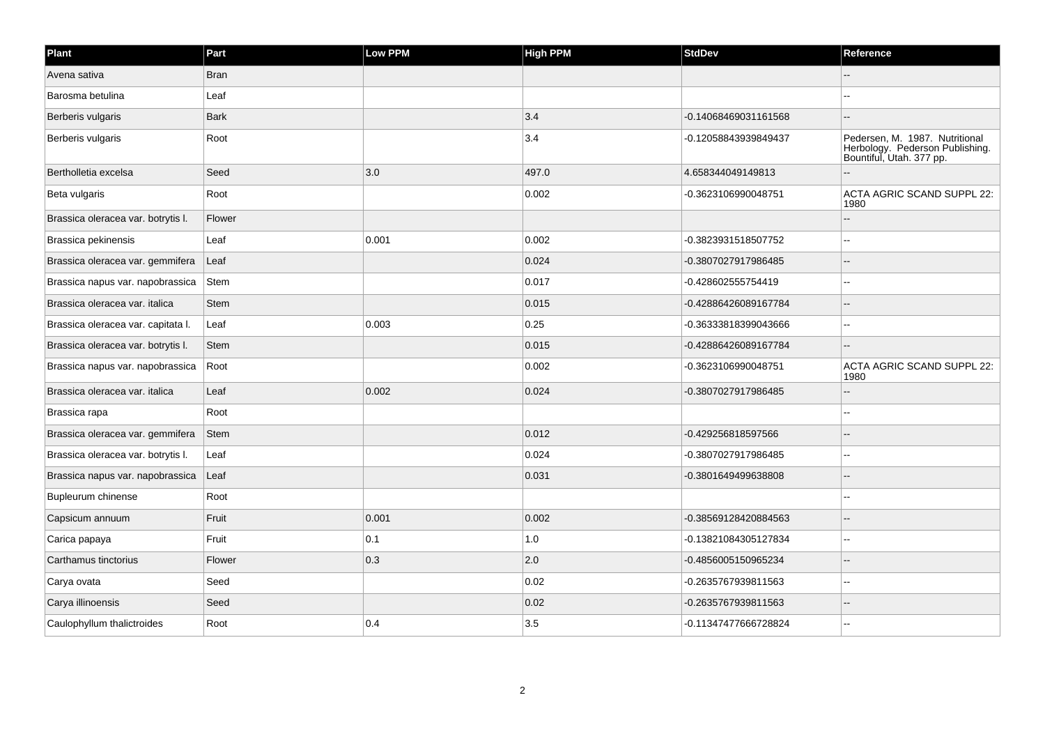| Plant                              | Part        | Low PPM | <b>High PPM</b> | <b>StdDev</b>        | Reference                                                                                     |
|------------------------------------|-------------|---------|-----------------|----------------------|-----------------------------------------------------------------------------------------------|
| Avena sativa                       | <b>Bran</b> |         |                 |                      |                                                                                               |
| Barosma betulina                   | Leaf        |         |                 |                      |                                                                                               |
| Berberis vulgaris                  | <b>Bark</b> |         | 3.4             | -0.14068469031161568 | $-$                                                                                           |
| Berberis vulgaris                  | Root        |         | 3.4             | -0.12058843939849437 | Pedersen, M. 1987. Nutritional<br>Herbology. Pederson Publishing.<br>Bountiful, Utah. 377 pp. |
| Bertholletia excelsa               | Seed        | 3.0     | 497.0           | 4.658344049149813    |                                                                                               |
| Beta vulgaris                      | Root        |         | 0.002           | -0.3623106990048751  | ACTA AGRIC SCAND SUPPL 22:<br>1980                                                            |
| Brassica oleracea var. botrytis I. | Flower      |         |                 |                      |                                                                                               |
| Brassica pekinensis                | Leaf        | 0.001   | 0.002           | -0.3823931518507752  |                                                                                               |
| Brassica oleracea var. gemmifera   | Leaf        |         | 0.024           | -0.3807027917986485  |                                                                                               |
| Brassica napus var. napobrassica   | Stem        |         | 0.017           | -0.428602555754419   |                                                                                               |
| Brassica oleracea var. italica     | <b>Stem</b> |         | 0.015           | -0.42886426089167784 |                                                                                               |
| Brassica oleracea var. capitata I. | Leaf        | 0.003   | 0.25            | -0.36333818399043666 |                                                                                               |
| Brassica oleracea var. botrytis I. | <b>Stem</b> |         | 0.015           | -0.42886426089167784 |                                                                                               |
| Brassica napus var. napobrassica   | Root        |         | 0.002           | -0.3623106990048751  | ACTA AGRIC SCAND SUPPL 22:<br>1980                                                            |
| Brassica oleracea var. italica     | Leaf        | 0.002   | 0.024           | -0.3807027917986485  |                                                                                               |
| Brassica rapa                      | Root        |         |                 |                      | $\sim$                                                                                        |
| Brassica oleracea var. gemmifera   | Stem        |         | 0.012           | -0.429256818597566   |                                                                                               |
| Brassica oleracea var. botrytis I. | Leaf        |         | 0.024           | -0.3807027917986485  |                                                                                               |
| Brassica napus var. napobrassica   | Leaf        |         | 0.031           | -0.3801649499638808  | $\overline{a}$                                                                                |
| Bupleurum chinense                 | Root        |         |                 |                      | --                                                                                            |
| Capsicum annuum                    | Fruit       | 0.001   | 0.002           | -0.38569128420884563 |                                                                                               |
| Carica papaya                      | Fruit       | 0.1     | 1.0             | -0.13821084305127834 | $\overline{a}$                                                                                |
| Carthamus tinctorius               | Flower      | 0.3     | 2.0             | -0.4856005150965234  |                                                                                               |
| Carya ovata                        | Seed        |         | 0.02            | -0.2635767939811563  |                                                                                               |
| Carya illinoensis                  | Seed        |         | 0.02            | -0.2635767939811563  | $\overline{a}$                                                                                |
| Caulophyllum thalictroides         | Root        | 0.4     | 3.5             | -0.11347477666728824 |                                                                                               |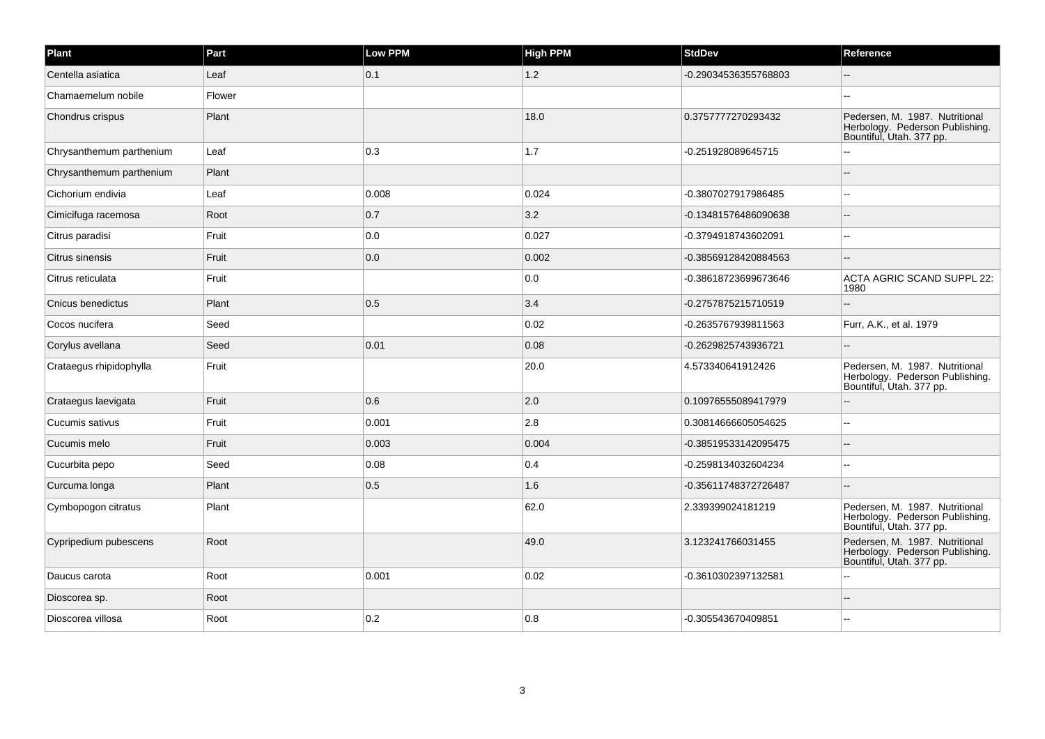| Plant                    | Part   | <b>Low PPM</b> | <b>High PPM</b> | <b>StdDev</b>        | Reference                                                                                     |
|--------------------------|--------|----------------|-----------------|----------------------|-----------------------------------------------------------------------------------------------|
| Centella asiatica        | Leaf   | 0.1            | 1.2             | -0.29034536355768803 |                                                                                               |
| Chamaemelum nobile       | Flower |                |                 |                      |                                                                                               |
| Chondrus crispus         | Plant  |                | 18.0            | 0.3757777270293432   | Pedersen, M. 1987. Nutritional<br>Herbology. Pederson Publishing.<br>Bountiful, Utah. 377 pp. |
| Chrysanthemum parthenium | Leaf   | 0.3            | 1.7             | -0.251928089645715   |                                                                                               |
| Chrysanthemum parthenium | Plant  |                |                 |                      |                                                                                               |
| Cichorium endivia        | Leaf   | 0.008          | 0.024           | -0.3807027917986485  |                                                                                               |
| Cimicifuga racemosa      | Root   | 0.7            | 3.2             | -0.13481576486090638 |                                                                                               |
| Citrus paradisi          | Fruit  | 0.0            | 0.027           | -0.3794918743602091  | $\sim$                                                                                        |
| Citrus sinensis          | Fruit  | 0.0            | 0.002           | -0.38569128420884563 |                                                                                               |
| Citrus reticulata        | Fruit  |                | 0.0             | -0.38618723699673646 | ACTA AGRIC SCAND SUPPL 22:<br>1980                                                            |
| Cnicus benedictus        | Plant  | 0.5            | 3.4             | -0.2757875215710519  |                                                                                               |
| Cocos nucifera           | Seed   |                | 0.02            | -0.2635767939811563  | Furr, A.K., et al. 1979                                                                       |
| Corylus avellana         | Seed   | 0.01           | 0.08            | -0.2629825743936721  |                                                                                               |
| Crataegus rhipidophylla  | Fruit  |                | 20.0            | 4.573340641912426    | Pedersen, M. 1987. Nutritional<br>Herbology. Pederson Publishing.<br>Bountiful, Utah. 377 pp. |
| Crataegus laevigata      | Fruit  | 0.6            | 2.0             | 0.10976555089417979  |                                                                                               |
| Cucumis sativus          | Fruit  | 0.001          | 2.8             | 0.30814666605054625  |                                                                                               |
| Cucumis melo             | Fruit  | 0.003          | 0.004           | -0.38519533142095475 |                                                                                               |
| Cucurbita pepo           | Seed   | 0.08           | 0.4             | -0.2598134032604234  |                                                                                               |
| Curcuma longa            | Plant  | 0.5            | 1.6             | -0.35611748372726487 |                                                                                               |
| Cymbopogon citratus      | Plant  |                | 62.0            | 2.339399024181219    | Pedersen, M. 1987. Nutritional<br>Herbology. Pederson Publishing.<br>Bountiful, Utah. 377 pp. |
| Cypripedium pubescens    | Root   |                | 49.0            | 3.123241766031455    | Pedersen, M. 1987. Nutritional<br>Herbology. Pederson Publishing.<br>Bountiful, Utah. 377 pp. |
| Daucus carota            | Root   | 0.001          | 0.02            | -0.3610302397132581  |                                                                                               |
| Dioscorea sp.            | Root   |                |                 |                      |                                                                                               |
| Dioscorea villosa        | Root   | 0.2            | 0.8             | -0.305543670409851   |                                                                                               |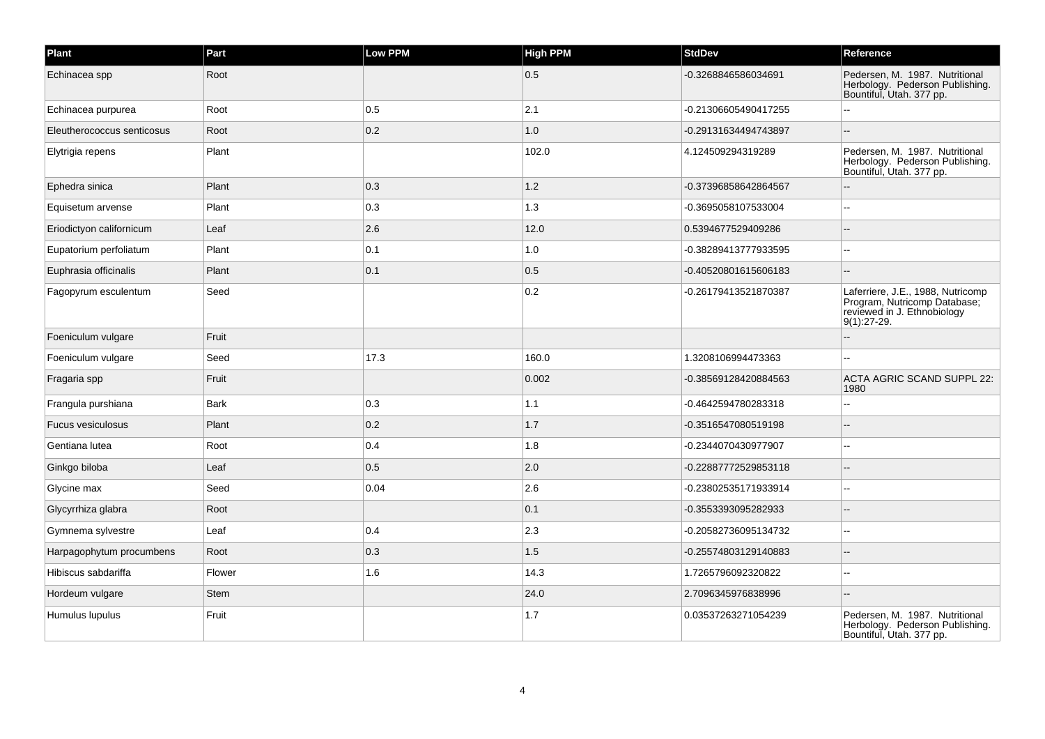| Plant                      | Part        | Low PPM | <b>High PPM</b> | <b>StdDev</b>        | Reference                                                                                                       |
|----------------------------|-------------|---------|-----------------|----------------------|-----------------------------------------------------------------------------------------------------------------|
| Echinacea spp              | Root        |         | 0.5             | -0.3268846586034691  | Pedersen, M. 1987. Nutritional<br>Herbology. Pederson Publishing.<br>Bountiful, Utah. 377 pp.                   |
| Echinacea purpurea         | Root        | 0.5     | 2.1             | -0.21306605490417255 |                                                                                                                 |
| Eleutherococcus senticosus | Root        | 0.2     | $1.0$           | -0.29131634494743897 |                                                                                                                 |
| Elytrigia repens           | Plant       |         | 102.0           | 4.124509294319289    | Pedersen, M. 1987. Nutritional<br>Herbology. Pederson Publishing.<br>Bountiful, Utah. 377 pp.                   |
| Ephedra sinica             | Plant       | 0.3     | 1.2             | -0.37396858642864567 |                                                                                                                 |
| Equisetum arvense          | Plant       | 0.3     | 1.3             | -0.3695058107533004  |                                                                                                                 |
| Eriodictyon californicum   | Leaf        | 2.6     | 12.0            | 0.5394677529409286   |                                                                                                                 |
| Eupatorium perfoliatum     | Plant       | 0.1     | $1.0\,$         | -0.38289413777933595 |                                                                                                                 |
| Euphrasia officinalis      | Plant       | 0.1     | 0.5             | -0.40520801615606183 |                                                                                                                 |
| Fagopyrum esculentum       | Seed        |         | 0.2             | -0.26179413521870387 | Laferriere, J.E., 1988, Nutricomp<br>Program, Nutricomp Database;<br>reviewed in J. Ethnobiology<br>9(1):27-29. |
| Foeniculum vulgare         | Fruit       |         |                 |                      |                                                                                                                 |
| Foeniculum vulgare         | Seed        | 17.3    | 160.0           | 1.3208106994473363   |                                                                                                                 |
| Fragaria spp               | Fruit       |         | 0.002           | -0.38569128420884563 | <b>ACTA AGRIC SCAND SUPPL 22:</b><br>1980                                                                       |
| Frangula purshiana         | Bark        | 0.3     | 1.1             | -0.4642594780283318  | ÷.                                                                                                              |
| Fucus vesiculosus          | Plant       | 0.2     | 1.7             | -0.3516547080519198  |                                                                                                                 |
| Gentiana lutea             | Root        | 0.4     | 1.8             | -0.2344070430977907  |                                                                                                                 |
| Ginkgo biloba              | Leaf        | 0.5     | 2.0             | -0.22887772529853118 |                                                                                                                 |
| Glycine max                | Seed        | 0.04    | 2.6             | -0.23802535171933914 |                                                                                                                 |
| Glycyrrhiza glabra         | Root        |         | 0.1             | -0.3553393095282933  |                                                                                                                 |
| Gymnema sylvestre          | Leaf        | 0.4     | $ 2.3\rangle$   | -0.20582736095134732 |                                                                                                                 |
| Harpagophytum procumbens   | Root        | 0.3     | 1.5             | -0.25574803129140883 |                                                                                                                 |
| Hibiscus sabdariffa        | Flower      | 1.6     | 14.3            | 1.7265796092320822   |                                                                                                                 |
| Hordeum vulgare            | <b>Stem</b> |         | 24.0            | 2.7096345976838996   |                                                                                                                 |
| Humulus lupulus            | Fruit       |         | 1.7             | 0.03537263271054239  | Pedersen, M. 1987. Nutritional<br>Herbology. Pederson Publishing.<br>Bountiful, Utah. 377 pp.                   |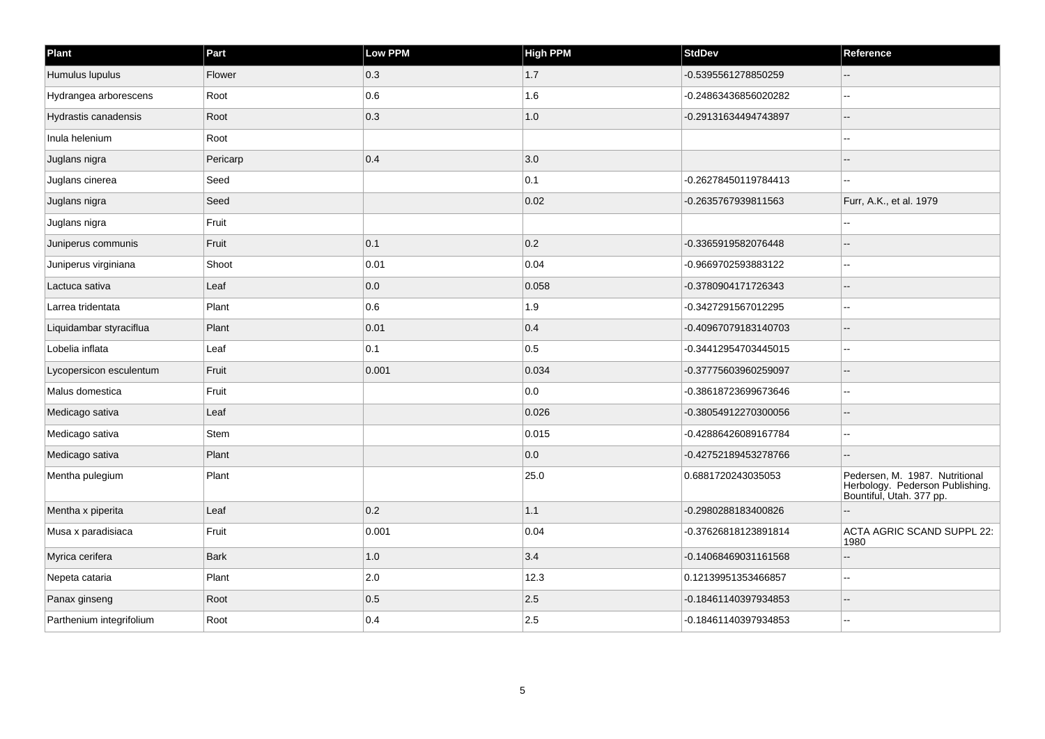| Plant                    | Part        | Low PPM | <b>High PPM</b> | <b>StdDev</b>        | Reference                                                                                     |
|--------------------------|-------------|---------|-----------------|----------------------|-----------------------------------------------------------------------------------------------|
| Humulus lupulus          | Flower      | 0.3     | 1.7             | -0.5395561278850259  |                                                                                               |
| Hydrangea arborescens    | Root        | 0.6     | 1.6             | -0.24863436856020282 | $\sim$ $\sim$                                                                                 |
| Hydrastis canadensis     | Root        | 0.3     | 1.0             | -0.29131634494743897 | $-$                                                                                           |
| Inula helenium           | Root        |         |                 |                      |                                                                                               |
| Juglans nigra            | Pericarp    | 0.4     | 3.0             |                      |                                                                                               |
| Juglans cinerea          | Seed        |         | 0.1             | -0.26278450119784413 |                                                                                               |
| Juglans nigra            | Seed        |         | 0.02            | -0.2635767939811563  | Furr, A.K., et al. 1979                                                                       |
| Juglans nigra            | Fruit       |         |                 |                      |                                                                                               |
| Juniperus communis       | Fruit       | 0.1     | 0.2             | -0.3365919582076448  |                                                                                               |
| Juniperus virginiana     | Shoot       | 0.01    | 0.04            | -0.9669702593883122  |                                                                                               |
| Lactuca sativa           | Leaf        | 0.0     | 0.058           | -0.3780904171726343  |                                                                                               |
| Larrea tridentata        | Plant       | 0.6     | 1.9             | -0.3427291567012295  |                                                                                               |
| Liquidambar styraciflua  | Plant       | 0.01    | 0.4             | -0.40967079183140703 |                                                                                               |
| Lobelia inflata          | Leaf        | 0.1     | 0.5             | -0.34412954703445015 |                                                                                               |
| Lycopersicon esculentum  | Fruit       | 0.001   | 0.034           | -0.37775603960259097 | $-$                                                                                           |
| Malus domestica          | Fruit       |         | 0.0             | -0.38618723699673646 | $\overline{a}$                                                                                |
| Medicago sativa          | Leaf        |         | 0.026           | -0.38054912270300056 |                                                                                               |
| Medicago sativa          | Stem        |         | 0.015           | -0.42886426089167784 |                                                                                               |
| Medicago sativa          | Plant       |         | 0.0             | -0.42752189453278766 | $\overline{a}$                                                                                |
| Mentha pulegium          | Plant       |         | 25.0            | 0.6881720243035053   | Pedersen, M. 1987. Nutritional<br>Herbology. Pederson Publishing.<br>Bountiful, Utah. 377 pp. |
| Mentha x piperita        | Leaf        | 0.2     | 1.1             | -0.2980288183400826  |                                                                                               |
| Musa x paradisiaca       | Fruit       | 0.001   | 0.04            | -0.37626818123891814 | ACTA AGRIC SCAND SUPPL 22:<br>1980                                                            |
| Myrica cerifera          | <b>Bark</b> | 1.0     | 3.4             | -0.14068469031161568 |                                                                                               |
| Nepeta cataria           | Plant       | 2.0     | 12.3            | 0.12139951353466857  | --                                                                                            |
| Panax ginseng            | Root        | 0.5     | 2.5             | -0.18461140397934853 | $\overline{\phantom{a}}$                                                                      |
| Parthenium integrifolium | Root        | 0.4     | 2.5             | -0.18461140397934853 | $-$                                                                                           |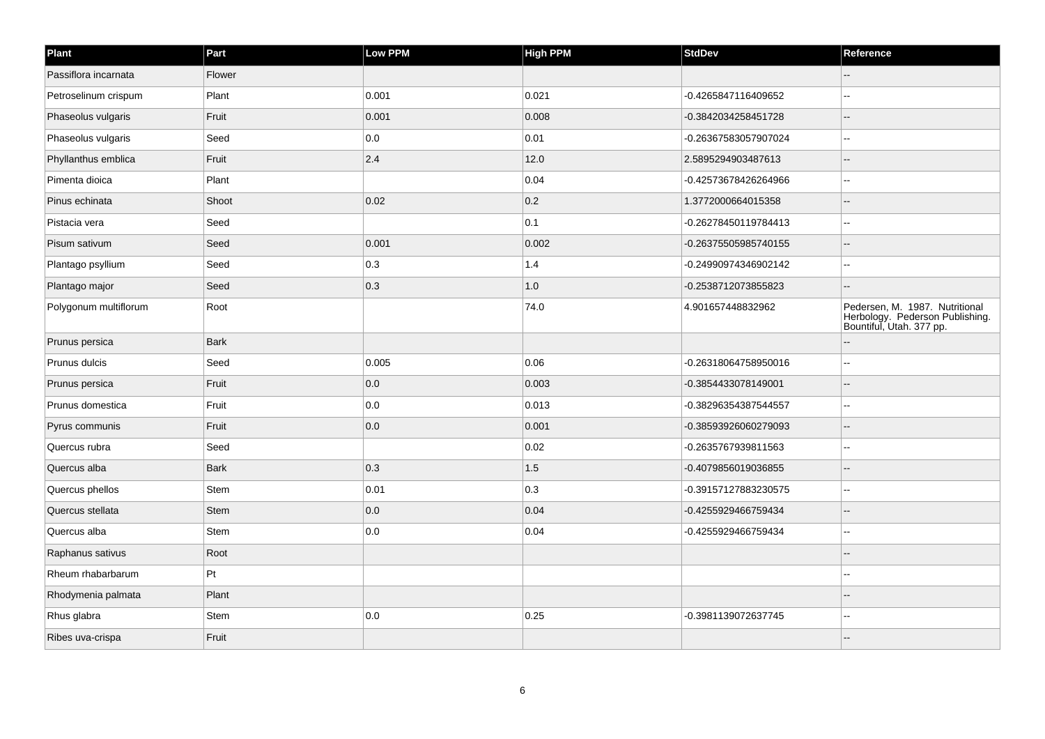| Plant                 | Part        | Low PPM | <b>High PPM</b> | <b>StdDev</b>        | Reference                                                                                     |
|-----------------------|-------------|---------|-----------------|----------------------|-----------------------------------------------------------------------------------------------|
| Passiflora incarnata  | Flower      |         |                 |                      |                                                                                               |
| Petroselinum crispum  | Plant       | 0.001   | 0.021           | -0.4265847116409652  |                                                                                               |
| Phaseolus vulgaris    | Fruit       | 0.001   | 0.008           | -0.3842034258451728  |                                                                                               |
| Phaseolus vulgaris    | Seed        | 0.0     | 0.01            | -0.26367583057907024 | $\sim$                                                                                        |
| Phyllanthus emblica   | Fruit       | 2.4     | 12.0            | 2.5895294903487613   | --                                                                                            |
| Pimenta dioica        | Plant       |         | 0.04            | -0.42573678426264966 |                                                                                               |
| Pinus echinata        | Shoot       | 0.02    | 0.2             | 1.3772000664015358   |                                                                                               |
| Pistacia vera         | Seed        |         | 0.1             | -0.26278450119784413 | --                                                                                            |
| Pisum sativum         | Seed        | 0.001   | 0.002           | -0.26375505985740155 |                                                                                               |
| Plantago psyllium     | Seed        | 0.3     | 1.4             | -0.24990974346902142 | --                                                                                            |
| Plantago major        | Seed        | 0.3     | 1.0             | -0.2538712073855823  |                                                                                               |
| Polygonum multiflorum | Root        |         | 74.0            | 4.901657448832962    | Pedersen, M. 1987. Nutritional<br>Herbology. Pederson Publishing.<br>Bountiful, Utah. 377 pp. |
| Prunus persica        | <b>Bark</b> |         |                 |                      |                                                                                               |
| Prunus dulcis         | Seed        | 0.005   | 0.06            | -0.26318064758950016 |                                                                                               |
| Prunus persica        | Fruit       | 0.0     | 0.003           | -0.3854433078149001  |                                                                                               |
| Prunus domestica      | Fruit       | 0.0     | 0.013           | -0.38296354387544557 |                                                                                               |
| Pyrus communis        | Fruit       | 0.0     | 0.001           | -0.38593926060279093 |                                                                                               |
| Quercus rubra         | Seed        |         | 0.02            | -0.2635767939811563  |                                                                                               |
| Quercus alba          | <b>Bark</b> | 0.3     | 1.5             | -0.4079856019036855  |                                                                                               |
| Quercus phellos       | Stem        | 0.01    | $\vert$ 0.3     | -0.39157127883230575 | --                                                                                            |
| Quercus stellata      | <b>Stem</b> | 0.0     | 0.04            | -0.4255929466759434  | --                                                                                            |
| Quercus alba          | Stem        | 0.0     | 0.04            | -0.4255929466759434  |                                                                                               |
| Raphanus sativus      | Root        |         |                 |                      |                                                                                               |
| Rheum rhabarbarum     | Pt          |         |                 |                      | --                                                                                            |
| Rhodymenia palmata    | Plant       |         |                 |                      |                                                                                               |
| Rhus glabra           | Stem        | 0.0     | 0.25            | -0.3981139072637745  |                                                                                               |
| Ribes uva-crispa      | Fruit       |         |                 |                      |                                                                                               |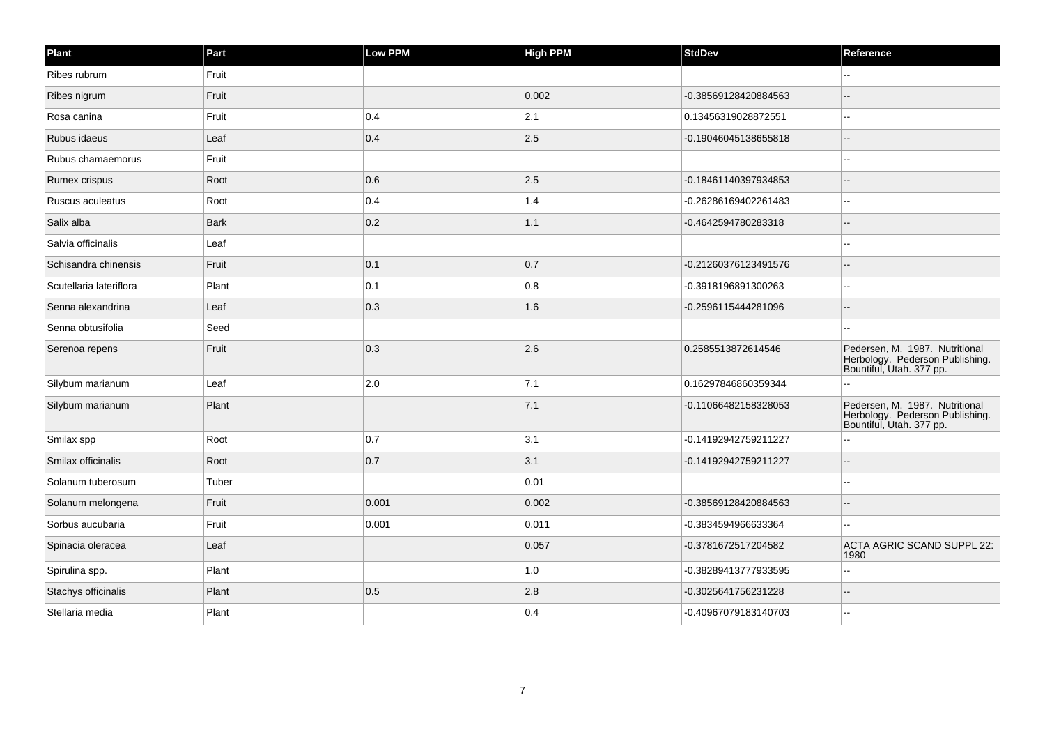| Plant                   | Part        | Low PPM | <b>High PPM</b> | StdDev               | Reference                                                                                     |
|-------------------------|-------------|---------|-----------------|----------------------|-----------------------------------------------------------------------------------------------|
| Ribes rubrum            | Fruit       |         |                 |                      |                                                                                               |
| Ribes nigrum            | Fruit       |         | 0.002           | -0.38569128420884563 |                                                                                               |
| Rosa canina             | Fruit       | 0.4     | 2.1             | 0.13456319028872551  | --                                                                                            |
| Rubus idaeus            | Leaf        | 0.4     | 2.5             | -0.19046045138655818 |                                                                                               |
| Rubus chamaemorus       | Fruit       |         |                 |                      |                                                                                               |
| Rumex crispus           | Root        | 0.6     | 2.5             | -0.18461140397934853 |                                                                                               |
| Ruscus aculeatus        | Root        | 0.4     | 1.4             | -0.26286169402261483 | $\overline{a}$                                                                                |
| Salix alba              | <b>Bark</b> | 0.2     | 1.1             | -0.4642594780283318  |                                                                                               |
| Salvia officinalis      | Leaf        |         |                 |                      |                                                                                               |
| Schisandra chinensis    | Fruit       | 0.1     | 0.7             | -0.21260376123491576 |                                                                                               |
| Scutellaria lateriflora | Plant       | 0.1     | 0.8             | -0.3918196891300263  |                                                                                               |
| Senna alexandrina       | Leaf        | 0.3     | 1.6             | -0.2596115444281096  |                                                                                               |
| Senna obtusifolia       | Seed        |         |                 |                      |                                                                                               |
| Serenoa repens          | Fruit       | 0.3     | 2.6             | 0.2585513872614546   | Pedersen, M. 1987. Nutritional<br>Herbology. Pederson Publishing.<br>Bountiful, Utah. 377 pp. |
| Silybum marianum        | Leaf        | 2.0     | 7.1             | 0.16297846860359344  |                                                                                               |
| Silybum marianum        | Plant       |         | 7.1             | -0.11066482158328053 | Pedersen, M. 1987. Nutritional<br>Herbology. Pederson Publishing.<br>Bountiful, Utah. 377 pp. |
| Smilax spp              | Root        | 0.7     | 3.1             | -0.14192942759211227 |                                                                                               |
| Smilax officinalis      | Root        | 0.7     | 3.1             | -0.14192942759211227 |                                                                                               |
| Solanum tuberosum       | Tuber       |         | 0.01            |                      |                                                                                               |
| Solanum melongena       | Fruit       | 0.001   | 0.002           | -0.38569128420884563 |                                                                                               |
| Sorbus aucubaria        | Fruit       | 0.001   | 0.011           | -0.3834594966633364  |                                                                                               |
| Spinacia oleracea       | Leaf        |         | 0.057           | -0.3781672517204582  | ACTA AGRIC SCAND SUPPL 22:<br>1980                                                            |
| Spirulina spp.          | Plant       |         | 1.0             | -0.38289413777933595 |                                                                                               |
| Stachys officinalis     | Plant       | 0.5     | 2.8             | -0.3025641756231228  |                                                                                               |
| Stellaria media         | Plant       |         | 0.4             | -0.40967079183140703 |                                                                                               |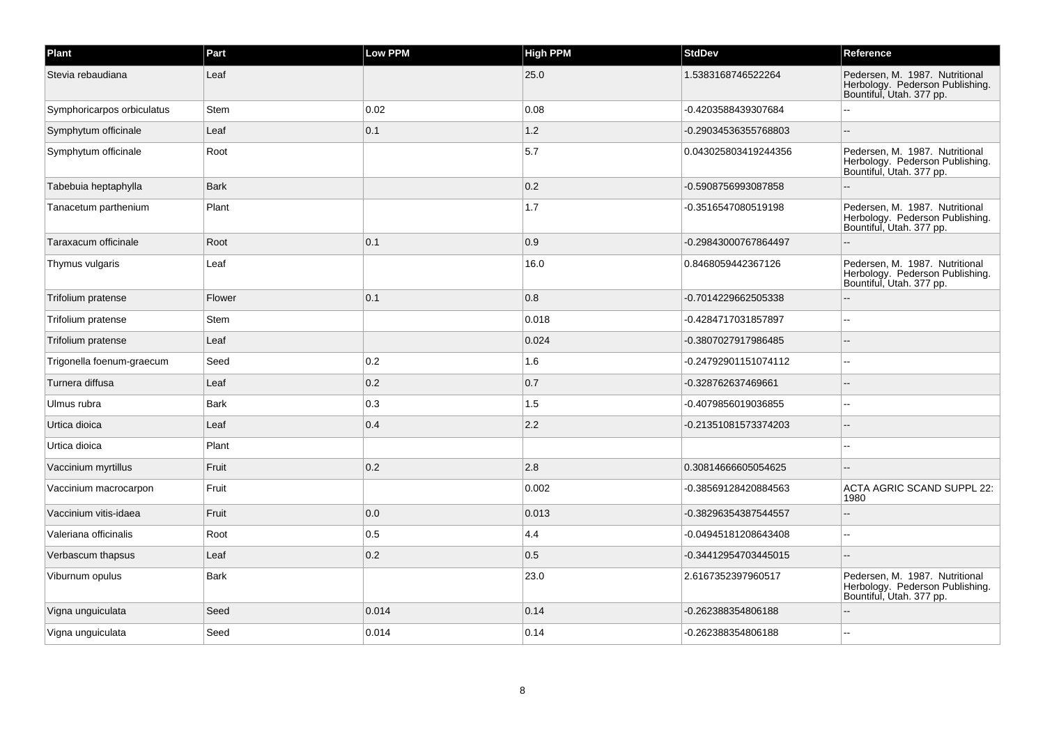| Plant                      | Part        | Low PPM | <b>High PPM</b> | <b>StdDev</b>        | Reference                                                                                     |
|----------------------------|-------------|---------|-----------------|----------------------|-----------------------------------------------------------------------------------------------|
| Stevia rebaudiana          | Leaf        |         | 25.0            | 1.5383168746522264   | Pedersen, M. 1987. Nutritional<br>Herbology. Pederson Publishing.<br>Bountiful, Utah. 377 pp. |
| Symphoricarpos orbiculatus | Stem        | 0.02    | 0.08            | -0.4203588439307684  |                                                                                               |
| Symphytum officinale       | Leaf        | 0.1     | 1.2             | -0.29034536355768803 |                                                                                               |
| Symphytum officinale       | Root        |         | 5.7             | 0.043025803419244356 | Pedersen, M. 1987. Nutritional<br>Herbology. Pederson Publishing.<br>Bountiful, Utah. 377 pp. |
| Tabebuia heptaphylla       | <b>Bark</b> |         | 0.2             | -0.5908756993087858  |                                                                                               |
| Tanacetum parthenium       | Plant       |         | 1.7             | -0.3516547080519198  | Pedersen, M. 1987. Nutritional<br>Herbology. Pederson Publishing.<br>Bountiful, Utah. 377 pp. |
| Taraxacum officinale       | Root        | 0.1     | 0.9             | -0.29843000767864497 |                                                                                               |
| Thymus vulgaris            | Leaf        |         | 16.0            | 0.8468059442367126   | Pedersen, M. 1987. Nutritional<br>Herbology. Pederson Publishing.<br>Bountiful, Utah. 377 pp. |
| Trifolium pratense         | Flower      | 0.1     | 0.8             | -0.7014229662505338  |                                                                                               |
| Trifolium pratense         | Stem        |         | 0.018           | -0.4284717031857897  |                                                                                               |
| Trifolium pratense         | Leaf        |         | 0.024           | -0.3807027917986485  |                                                                                               |
| Trigonella foenum-graecum  | Seed        | 0.2     | 1.6             | -0.24792901151074112 | ц,                                                                                            |
| Turnera diffusa            | Leaf        | 0.2     | 0.7             | -0.328762637469661   |                                                                                               |
| Ulmus rubra                | <b>Bark</b> | 0.3     | 1.5             | -0.4079856019036855  |                                                                                               |
| Urtica dioica              | Leaf        | 0.4     | 2.2             | -0.21351081573374203 |                                                                                               |
| Urtica dioica              | Plant       |         |                 |                      |                                                                                               |
| Vaccinium myrtillus        | Fruit       | 0.2     | 2.8             | 0.30814666605054625  |                                                                                               |
| Vaccinium macrocarpon      | Fruit       |         | 0.002           | -0.38569128420884563 | <b>ACTA AGRIC SCAND SUPPL 22:</b><br>1980                                                     |
| Vaccinium vitis-idaea      | Fruit       | 0.0     | 0.013           | -0.38296354387544557 |                                                                                               |
| Valeriana officinalis      | Root        | 0.5     | 4.4             | -0.04945181208643408 |                                                                                               |
| Verbascum thapsus          | Leaf        | 0.2     | 0.5             | -0.34412954703445015 |                                                                                               |
| Viburnum opulus            | <b>Bark</b> |         | 23.0            | 2.6167352397960517   | Pedersen, M. 1987. Nutritional<br>Herbology. Pederson Publishing.<br>Bountiful, Utah. 377 pp. |
| Vigna unguiculata          | Seed        | 0.014   | 0.14            | -0.262388354806188   |                                                                                               |
| Vigna unguiculata          | Seed        | 0.014   | 0.14            | -0.262388354806188   |                                                                                               |